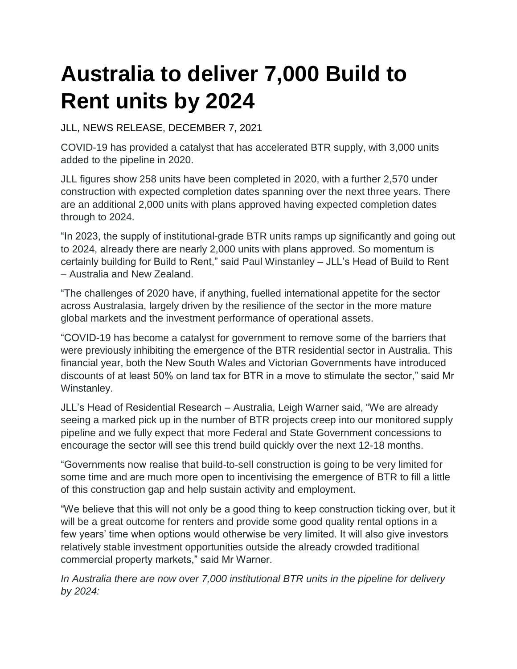## **Australia to deliver 7,000 Build to Rent units by 2024**

JLL, NEWS RELEASE, DECEMBER 7, 2021

COVID-19 has provided a catalyst that has accelerated BTR supply, with 3,000 units added to the pipeline in 2020.

JLL figures show 258 units have been completed in 2020, with a further 2,570 under construction with expected completion dates spanning over the next three years. There are an additional 2,000 units with plans approved having expected completion dates through to 2024.

"In 2023, the supply of institutional-grade BTR units ramps up significantly and going out to 2024, already there are nearly 2,000 units with plans approved. So momentum is certainly building for Build to Rent," said Paul Winstanley – JLL's Head of Build to Rent – Australia and New Zealand.

"The challenges of 2020 have, if anything, fuelled international appetite for the sector across Australasia, largely driven by the resilience of the sector in the more mature global markets and the investment performance of operational assets.

"COVID-19 has become a catalyst for government to remove some of the barriers that were previously inhibiting the emergence of the BTR residential sector in Australia. This financial year, both the New South Wales and Victorian Governments have introduced discounts of at least 50% on land tax for BTR in a move to stimulate the sector," said Mr Winstanley.

JLL's Head of Residential Research – Australia, Leigh Warner said, "We are already seeing a marked pick up in the number of BTR projects creep into our monitored supply pipeline and we fully expect that more Federal and State Government concessions to encourage the sector will see this trend build quickly over the next 12-18 months.

"Governments now realise that build-to-sell construction is going to be very limited for some time and are much more open to incentivising the emergence of BTR to fill a little of this construction gap and help sustain activity and employment.

"We believe that this will not only be a good thing to keep construction ticking over, but it will be a great outcome for renters and provide some good quality rental options in a few years' time when options would otherwise be very limited. It will also give investors relatively stable investment opportunities outside the already crowded traditional commercial property markets," said Mr Warner.

*In Australia there are now over 7,000 institutional BTR units in the pipeline for delivery by 2024:*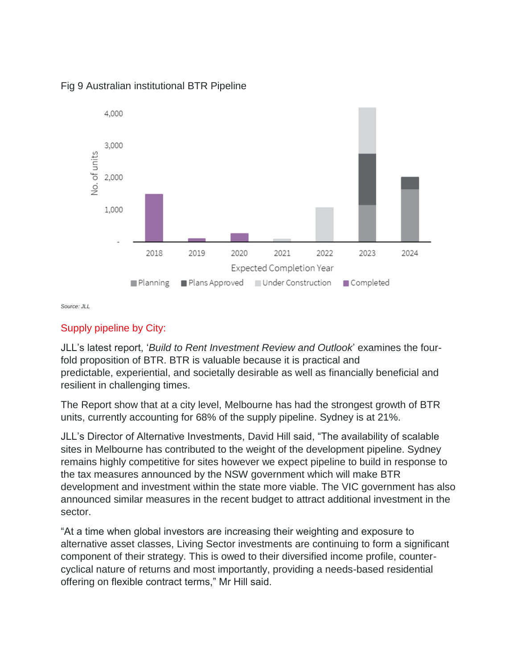

## Fig 9 Australian institutional BTR Pipeline

*Source: JLL*

## Supply pipeline by City:

JLL's latest report, '*Build to Rent Investment Review and Outlook*' examines the fourfold proposition of BTR. BTR is valuable because it is practical and predictable, experiential, and societally desirable as well as financially beneficial and resilient in challenging times.

The Report show that at a city level, Melbourne has had the strongest growth of BTR units, currently accounting for 68% of the supply pipeline. Sydney is at 21%.

JLL's Director of Alternative Investments, David Hill said, "The availability of scalable sites in Melbourne has contributed to the weight of the development pipeline. Sydney remains highly competitive for sites however we expect pipeline to build in response to the tax measures announced by the NSW government which will make BTR development and investment within the state more viable. The VIC government has also announced similar measures in the recent budget to attract additional investment in the sector.

"At a time when global investors are increasing their weighting and exposure to alternative asset classes, Living Sector investments are continuing to form a significant component of their strategy. This is owed to their diversified income profile, countercyclical nature of returns and most importantly, providing a needs-based residential offering on flexible contract terms," Mr Hill said.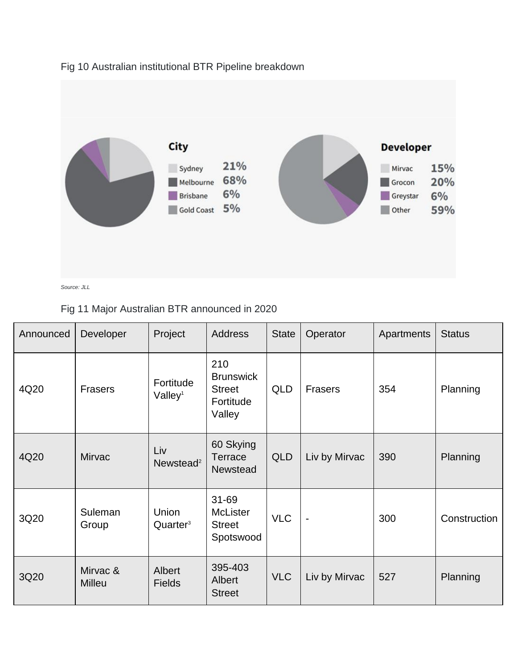

## Fig 10 Australian institutional BTR Pipeline breakdown

Fig 11 Major Australian BTR announced in 2020

| Announced | Developer                 | Project                          | <b>Address</b>                                                  | <b>State</b> | Operator                 | Apartments | <b>Status</b> |
|-----------|---------------------------|----------------------------------|-----------------------------------------------------------------|--------------|--------------------------|------------|---------------|
| 4Q20      | <b>Frasers</b>            | Fortitude<br>Valley <sup>1</sup> | 210<br><b>Brunswick</b><br><b>Street</b><br>Fortitude<br>Valley | <b>QLD</b>   | Frasers                  | 354        | Planning      |
| 4Q20      | <b>Mirvac</b>             | Liv<br>Newstead <sup>2</sup>     | 60 Skying<br>Terrace<br><b>Newstead</b>                         | <b>QLD</b>   | Liv by Mirvac            | 390        | Planning      |
| 3Q20      | Suleman<br>Group          | Union<br>Quarter <sup>3</sup>    | 31-69<br><b>McLister</b><br><b>Street</b><br>Spotswood          | <b>VLC</b>   | $\overline{\phantom{a}}$ | 300        | Construction  |
| 3Q20      | Mirvac &<br><b>Milleu</b> | Albert<br><b>Fields</b>          | 395-403<br>Albert<br><b>Street</b>                              | <b>VLC</b>   | Liv by Mirvac            | 527        | Planning      |